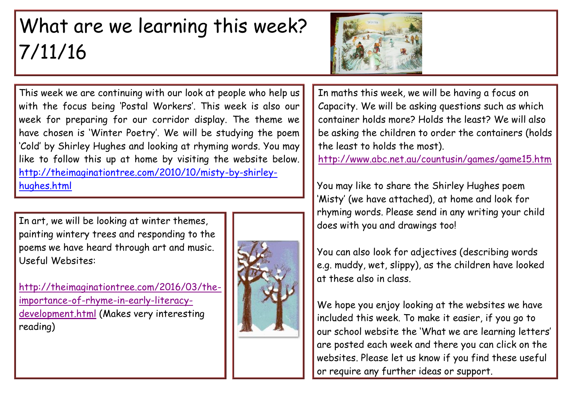## What are we learning this week? 7/11/16



This week we are continuing with our look at people who help us with the focus being 'Postal Workers'. This week is also our week for preparing for our corridor display. The theme we have chosen is 'Winter Poetry'. We will be studying the poem 'Cold' by Shirley Hughes and looking at rhyming words. You may like to follow this up at home by visiting the website below. [http://theimaginationtree.com/2010/10/misty-by-shirley](http://theimaginationtree.com/2010/10/misty-by-shirley-hughes.html)[hughes.html](http://theimaginationtree.com/2010/10/misty-by-shirley-hughes.html)

In art, we will be looking at winter themes, painting wintery trees and responding to the poems we have heard through art and music. Useful Websites:

[http://theimaginationtree.com/2016/03/the](http://theimaginationtree.com/2016/03/the-importance-of-rhyme-in-early-literacy-development.html)[importance-of-rhyme-in-early-literacy](http://theimaginationtree.com/2016/03/the-importance-of-rhyme-in-early-literacy-development.html)[development.html](http://theimaginationtree.com/2016/03/the-importance-of-rhyme-in-early-literacy-development.html) (Makes very interesting reading)



In maths this week, we will be having a focus on Capacity. We will be asking questions such as which container holds more? Holds the least? We will also be asking the children to order the containers (holds the least to holds the most).

<http://www.abc.net.au/countusin/games/game15.htm>

You may like to share the Shirley Hughes poem 'Misty' (we have attached), at home and look for rhyming words. Please send in any writing your child does with you and drawings too!

You can also look for adjectives (describing words e.g. muddy, wet, slippy), as the children have looked at these also in class.

We hope you enjoy looking at the websites we have included this week. To make it easier, if you go to our school website the 'What we are learning letters' are posted each week and there you can click on the websites. Please let us know if you find these useful or require any further ideas or support.